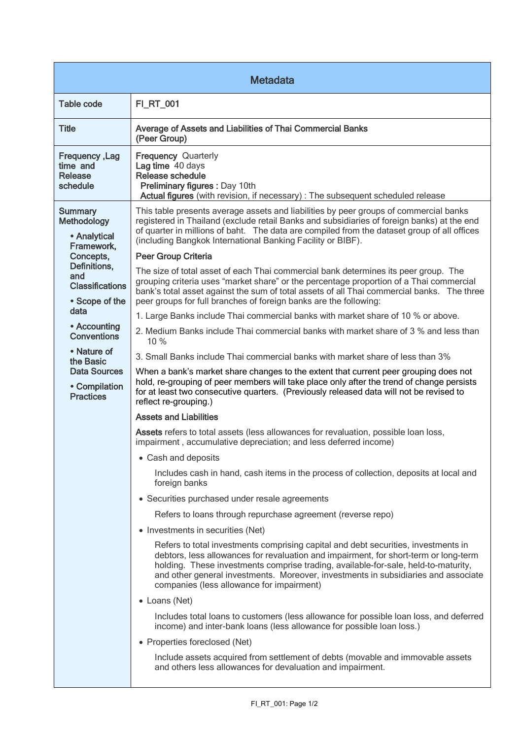| <b>Metadata</b>                                                                                                                                                                                                                                                                   |                                                                                                                                                                                                                                                                                                                                                                                                                                                                                                                                                                                                                                                                                                                                                                                                                                                                                                                                                                                                                                                                                                                                                                                                                                                                                                                                                                                                                                                                                                                                                                                                                                                                                                                                                                                                                                                                                                                                                                                                                                                                                                                                                                                                                                                                                                                                                                                                                                                                                                               |  |
|-----------------------------------------------------------------------------------------------------------------------------------------------------------------------------------------------------------------------------------------------------------------------------------|---------------------------------------------------------------------------------------------------------------------------------------------------------------------------------------------------------------------------------------------------------------------------------------------------------------------------------------------------------------------------------------------------------------------------------------------------------------------------------------------------------------------------------------------------------------------------------------------------------------------------------------------------------------------------------------------------------------------------------------------------------------------------------------------------------------------------------------------------------------------------------------------------------------------------------------------------------------------------------------------------------------------------------------------------------------------------------------------------------------------------------------------------------------------------------------------------------------------------------------------------------------------------------------------------------------------------------------------------------------------------------------------------------------------------------------------------------------------------------------------------------------------------------------------------------------------------------------------------------------------------------------------------------------------------------------------------------------------------------------------------------------------------------------------------------------------------------------------------------------------------------------------------------------------------------------------------------------------------------------------------------------------------------------------------------------------------------------------------------------------------------------------------------------------------------------------------------------------------------------------------------------------------------------------------------------------------------------------------------------------------------------------------------------------------------------------------------------------------------------------------------------|--|
| <b>Table code</b>                                                                                                                                                                                                                                                                 | <b>FI_RT_001</b>                                                                                                                                                                                                                                                                                                                                                                                                                                                                                                                                                                                                                                                                                                                                                                                                                                                                                                                                                                                                                                                                                                                                                                                                                                                                                                                                                                                                                                                                                                                                                                                                                                                                                                                                                                                                                                                                                                                                                                                                                                                                                                                                                                                                                                                                                                                                                                                                                                                                                              |  |
| <b>Title</b>                                                                                                                                                                                                                                                                      | Average of Assets and Liabilities of Thai Commercial Banks<br>(Peer Group)                                                                                                                                                                                                                                                                                                                                                                                                                                                                                                                                                                                                                                                                                                                                                                                                                                                                                                                                                                                                                                                                                                                                                                                                                                                                                                                                                                                                                                                                                                                                                                                                                                                                                                                                                                                                                                                                                                                                                                                                                                                                                                                                                                                                                                                                                                                                                                                                                                    |  |
| Frequency, Lag<br>time and<br><b>Release</b><br>schedule                                                                                                                                                                                                                          | <b>Frequency Quarterly</b><br>Lag time 40 days<br>Release schedule<br>Preliminary figures : Day 10th<br>Actual figures (with revision, if necessary) : The subsequent scheduled release                                                                                                                                                                                                                                                                                                                                                                                                                                                                                                                                                                                                                                                                                                                                                                                                                                                                                                                                                                                                                                                                                                                                                                                                                                                                                                                                                                                                                                                                                                                                                                                                                                                                                                                                                                                                                                                                                                                                                                                                                                                                                                                                                                                                                                                                                                                       |  |
| <b>Summary</b><br>Methodology<br>• Analytical<br>Framework,<br>Concepts,<br>Definitions,<br>and<br><b>Classifications</b><br>• Scope of the<br>data<br>• Accounting<br><b>Conventions</b><br>• Nature of<br>the Basic<br><b>Data Sources</b><br>• Compilation<br><b>Practices</b> | This table presents average assets and liabilities by peer groups of commercial banks<br>registered in Thailand (exclude retail Banks and subsidiaries of foreign banks) at the end<br>of quarter in millions of baht. The data are compiled from the dataset group of all offices<br>(including Bangkok International Banking Facility or BIBF).<br>Peer Group Criteria<br>The size of total asset of each Thai commercial bank determines its peer group. The<br>grouping criteria uses "market share" or the percentage proportion of a Thai commercial<br>bank's total asset against the sum of total assets of all Thai commercial banks. The three<br>peer groups for full branches of foreign banks are the following:<br>1. Large Banks include Thai commercial banks with market share of 10 % or above.<br>2. Medium Banks include Thai commercial banks with market share of 3 % and less than<br>10 %<br>3. Small Banks include Thai commercial banks with market share of less than 3%<br>When a bank's market share changes to the extent that current peer grouping does not<br>hold, re-grouping of peer members will take place only after the trend of change persists<br>for at least two consecutive quarters. (Previously released data will not be revised to<br>reflect re-grouping.)<br><b>Assets and Liabilities</b><br>Assets refers to total assets (less allowances for revaluation, possible loan loss,<br>impairment, accumulative depreciation; and less deferred income)<br>• Cash and deposits<br>Includes cash in hand, cash items in the process of collection, deposits at local and<br>foreign banks<br>• Securities purchased under resale agreements<br>Refers to loans through repurchase agreement (reverse repo)<br>• Investments in securities (Net)<br>Refers to total investments comprising capital and debt securities, investments in<br>debtors, less allowances for revaluation and impairment, for short-term or long-term<br>holding. These investments comprise trading, available-for-sale, held-to-maturity,<br>and other general investments. Moreover, investments in subsidiaries and associate<br>companies (less allowance for impairment)<br>• Loans (Net)<br>Includes total loans to customers (less allowance for possible loan loss, and deferred<br>income) and inter-bank loans (less allowance for possible loan loss.)<br>• Properties foreclosed (Net)<br>Include assets acquired from settlement of debts (movable and immovable assets |  |
|                                                                                                                                                                                                                                                                                   | and others less allowances for devaluation and impairment.                                                                                                                                                                                                                                                                                                                                                                                                                                                                                                                                                                                                                                                                                                                                                                                                                                                                                                                                                                                                                                                                                                                                                                                                                                                                                                                                                                                                                                                                                                                                                                                                                                                                                                                                                                                                                                                                                                                                                                                                                                                                                                                                                                                                                                                                                                                                                                                                                                                    |  |